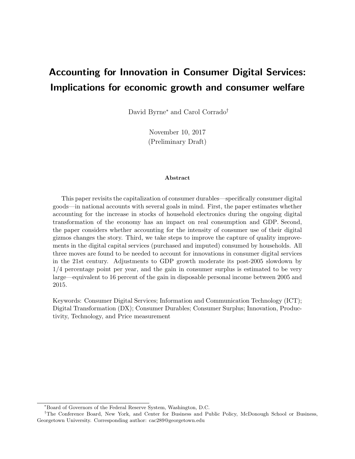## Accounting for Innovation in Consumer Digital Services: Implications for economic growth and consumer welfare

David Byrne<sup>∗</sup> and Carol Corrado†

November 10, 2017 (Preliminary Draft)

#### Abstract

This paper revisits the capitalization of consumer durables—specifically consumer digital goods—in national accounts with several goals in mind. First, the paper estimates whether accounting for the increase in stocks of household electronics during the ongoing digital transformation of the economy has an impact on real consumption and GDP. Second, the paper considers whether accounting for the intensity of consumer use of their digital gizmos changes the story. Third, we take steps to improve the capture of quality improvements in the digital capital services (purchased and imputed) consumed by households. All three moves are found to be needed to account for innovations in consumer digital services in the 21st century. Adjustments to GDP growth moderate its post-2005 slowdown by 1/4 percentage point per year, and the gain in consumer surplus is estimated to be very large—equivalent to 16 percent of the gain in disposable personal income between 2005 and 2015.

Keywords: Consumer Digital Services; Information and Communication Technology (ICT); Digital Transformation (DX); Consumer Durables; Consumer Surplus; Innovation, Productivity, Technology, and Price measurement

<sup>∗</sup>Board of Governors of the Federal Reserve System, Washington, D.C.

<sup>†</sup>The Conference Board, New York, and Center for Business and Public Policy, McDonough School or Business, Georgetown University. Corresponding author: cac289@georgetown.edu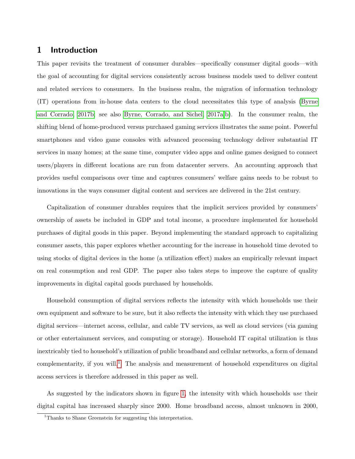## 1 Introduction

This paper revisits the treatment of consumer durables—specifically consumer digital goods—with the goal of accounting for digital services consistently across business models used to deliver content and related services to consumers. In the business realm, the migration of information technology (IT) operations from in-house data centers to the cloud necessitates this type of analysis [\(Byrne](#page-28-0) [and Corrado, 2017b;](#page-28-0) see also [Byrne, Corrado, and Sichel, 2017a,](#page-28-1)[b\)](#page-28-2). In the consumer realm, the shifting blend of home-produced versus purchased gaming services illustrates the same point. Powerful smartphones and video game consoles with advanced processing technology deliver substantial IT services in many homes; at the same time, computer video apps and online games designed to connect users/players in different locations are run from datacenter servers. An accounting approach that provides useful comparisons over time and captures consumers' welfare gains needs to be robust to innovations in the ways consumer digital content and services are delivered in the 21st century.

Capitalization of consumer durables requires that the implicit services provided by consumers' ownership of assets be included in GDP and total income, a procedure implemented for household purchases of digital goods in this paper. Beyond implementing the standard approach to capitalizing consumer assets, this paper explores whether accounting for the increase in household time devoted to using stocks of digital devices in the home (a utilization effect) makes an empirically relevant impact on real consumption and real GDP. The paper also takes steps to improve the capture of quality improvements in digital capital goods purchased by households.

Household consumption of digital services reflects the intensity with which households use their own equipment and software to be sure, but it also reflects the intensity with which they use purchased digital services—internet access, cellular, and cable TV services, as well as cloud services (via gaming or other entertainment services, and computing or storage). Household IT capital utilization is thus inextricably tied to household's utilization of public broadband and cellular networks, a form of demand complementarity, if you will.<sup>[1](#page-1-0)</sup> The analysis and measurement of household expenditures on digital access services is therefore addressed in this paper as well.

As suggested by the indicators shown in figure [1,](#page-2-0) the intensity with which households use their digital capital has increased sharply since 2000. Home broadband access, almost unknown in 2000,

<span id="page-1-0"></span><sup>&</sup>lt;sup>1</sup>Thanks to Shane Greenstein for suggesting this interpretation.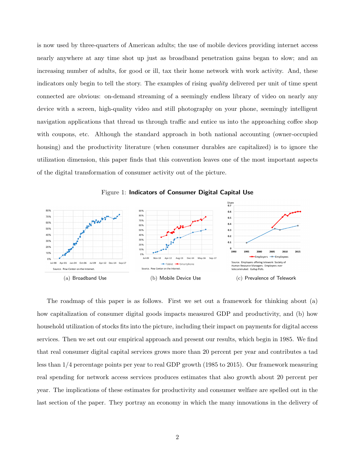is now used by three-quarters of American adults; the use of mobile devices providing internet access nearly anywhere at any time shot up just as broadband penetration gains began to slow; and an increasing number of adults, for good or ill, tax their home network with work activity. And, these indicators only begin to tell the story. The examples of rising quality delivered per unit of time spent connected are obvious: on-demand streaming of a seemingly endless library of video on nearly any device with a screen, high-quality video and still photography on your phone, seemingly intelligent navigation applications that thread us through traffic and entice us into the approaching coffee shop with coupons, etc. Although the standard approach in both national accounting (owner-occupied housing) and the productivity literature (when consumer durables are capitalized) is to ignore the utilization dimension, this paper finds that this convention leaves one of the most important aspects of the digital transformation of consumer activity out of the picture.

<span id="page-2-0"></span>



The roadmap of this paper is as follows. First we set out a framework for thinking about (a) how capitalization of consumer digital goods impacts measured GDP and productivity, and (b) how household utilization of stocks fits into the picture, including their impact on payments for digital access services. Then we set out our empirical approach and present our results, which begin in 1985. We find that real consumer digital capital services grows more than 20 percent per year and contributes a tad less than 1/4 percentage points per year to real GDP growth (1985 to 2015). Our framework measuring real spending for network access services produces estimates that also growth about 20 percent per year. The implications of these estimates for productivity and consumer welfare are spelled out in the last section of the paper. They portray an economy in which the many innovations in the delivery of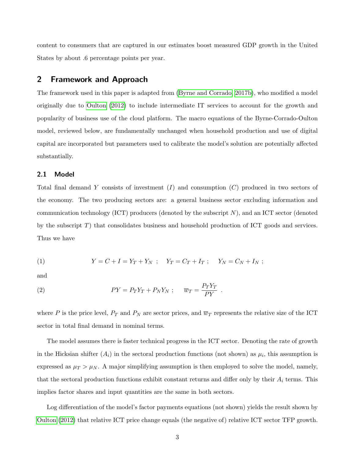content to consumers that are captured in our estimates boost measured GDP growth in the United States by about .6 percentage points per year.

## 2 Framework and Approach

The framework used in this paper is adapted from [\(Byrne and Corrado, 2017b\)](#page-28-0), who modified a model originally due to [Oulton](#page-29-0) [\(2012\)](#page-29-0) to include intermediate IT services to account for the growth and popularity of business use of the cloud platform. The macro equations of the Byrne-Corrado-Oulton model, reviewed below, are fundamentally unchanged when household production and use of digital capital are incorporated but parameters used to calibrate the model's solution are potentially affected substantially.

#### 2.1 Model

Total final demand Y consists of investment  $(I)$  and consumption  $(C)$  produced in two sectors of the economy. The two producing sectors are: a general business sector excluding information and communication technology (ICT) producers (denoted by the subscript  $N$ ), and an ICT sector (denoted by the subscript T) that consolidates business and household production of ICT goods and services. Thus we have

(1) 
$$
Y = C + I = Y_T + Y_N ; \quad Y_T = C_T + I_T ; \quad Y_N = C_N + I_N ;
$$

and

(2) 
$$
PY = P_T Y_T + P_N Y_N ; \quad \overline{w}_T = \frac{P_T Y_T}{PY} .
$$

where P is the price level,  $P_T$  and  $P_N$  are sector prices, and  $\overline{w}_T$  represents the relative size of the ICT sector in total final demand in nominal terms.

The model assumes there is faster technical progress in the ICT sector. Denoting the rate of growth in the Hicksian shifter  $(A_i)$  in the sectoral production functions (not shown) as  $\mu_i$ , this assumption is expressed as  $\mu_T > \mu_N$ . A major simplifying assumption is then employed to solve the model, namely, that the sectoral production functions exhibit constant returns and differ only by their  $A_i$  terms. This implies factor shares and input quantities are the same in both sectors.

Log differentiation of the model's factor payments equations (not shown) yields the result shown by [Oulton](#page-29-0) [\(2012\)](#page-29-0) that relative ICT price change equals (the negative of) relative ICT sector TFP growth.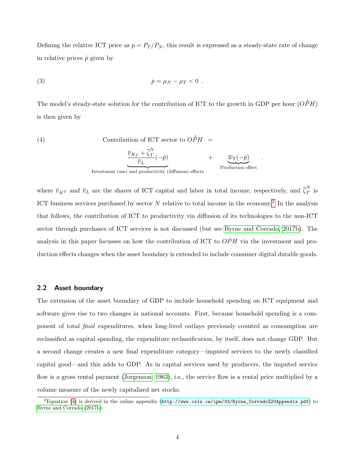Defining the relative ICT price as  $p = P_T/P_N$ , this result is expressed as a steady-state rate of change in relative prices  $\dot{p}$  given by

(3) 
$$
\dot{p} = \mu_N - \mu_T < 0 \; .
$$

The model's steady-state solution for the contribution of ICT to the growth in GDP per hour ( .  $OPH)$ is then given by

<span id="page-4-1"></span>(4)   
Contribution of ICT sector to 
$$
\vec{OPH} = \frac{\overline{v}_{K_T} + \overline{\zeta}_T^N}{-\overline{v}_{K_T} - \overline{v}_{K_T}}(-\vec{p}) + \overline{w}_T(\vec{p})
$$

$$
m_{\text{m}} = \frac{\frac{U_{1} + V_{2} - U_{2}}{U_{L}}(-\dot{p})}{\frac{U_{1} - U_{2}}{U_{L}}}
$$
\n
$$
m_{\text{m}} = \frac{U_{1} - \dot{p}}{U_{L}}
$$
\n
$$
m_{\text{m}} = \frac{U_{1} - \dot{p}}{U_{L}}
$$
\n
$$
m_{\text{m}} = \frac{U_{1} - \dot{p}}{U_{L}}
$$
\n
$$
m_{\text{m}} = \frac{U_{1} - \dot{p}}{U_{L}}
$$
\n
$$
m_{\text{m}} = \frac{U_{1} - \dot{p}}{U_{L}}
$$
\n
$$
m_{\text{m}} = \frac{U_{2} - \dot{p}}{U_{L}}
$$
\n
$$
m_{\text{m}} = \frac{U_{1} - \dot{p}}{U_{L}}
$$
\n
$$
m_{\text{m}} = \frac{U_{1} - \dot{p}}{U_{L}}
$$
\n
$$
m_{\text{m}} = \frac{U_{1} - \dot{p}}{U_{L}}
$$
\n
$$
m_{\text{m}} = \frac{U_{1} - \dot{p}}{U_{L}}
$$
\n
$$
m_{\text{m}} = \frac{U_{1} - \dot{p}}{U_{L}}
$$
\n
$$
m_{\text{m}} = \frac{U_{1} - \dot{p}}{U_{L}}
$$
\n
$$
m_{\text{m}} = \frac{U_{1} - \dot{p}}{U_{L}}
$$
\n
$$
m_{\text{m}} = \frac{U_{1} - \dot{p}}{U_{L}}
$$
\n
$$
m_{\text{m}} = \frac{U_{1} - \dot{p}}{U_{L}}
$$
\n
$$
m_{\text{m}} = \frac{U_{1} - \dot{p}}{U_{L}}
$$
\n
$$
m_{\text{m}} = \frac{U_{1} - \dot{p}}{U_{L}}
$$
\n
$$
m_{\text{m}} = \frac{U_{1} - \dot{p}}{U_{L}}
$$
\n
$$
m_{\text{m}} = \frac{U_{1} - \dot{p}}{U_{L}}
$$
\n
$$
m_{\text{m}} = \frac{U_{1} - \dot{p}}{U_{L}}
$$
\

.

where  $\overline{v}_{K}$  and  $\overline{v}_L$  are the shares of ICT capital and labor in total income, respectively, and  $\overline{\zeta}_T^N$  $T$  is ICT business services purchased by sector N relative to total income in the economy.<sup>[2](#page-4-0)</sup> In the analysis that follows, the contribution of ICT to productivity via diffusion of its technologies to the non-ICT sector through purchases of ICT services is not discussed (but see [Byrne and Corrado, 2017b\)](#page-28-0). The analysis in this paper focusses on how the contribution of ICT to  $\overrightarrow{OPH}$  via the investment and production effects changes when the asset boundary is extended to include consumer digital durable goods.

#### 2.2 Asset boundary

The extension of the asset boundary of GDP to include household spending on ICT equipment and software gives rise to two changes in national accounts. First, because household spending is a component of total final expenditures, when long-lived outlays previously counted as consumption are reclassified as capital spending, the expenditure reclassification, by itself, does not change GDP. But a second change creates a new final expenditure category—imputed services to the newly classified capital good—and this adds to GDP. As in capital services used by producers, the imputed service flow is a gross rental payment [\(Jorgenson, 1963\)](#page-29-1), i.e., the service flow is a rental price multiplied by a volume measure of the newly capitalized net stocks.

<span id="page-4-0"></span> ${}^{2}$ Equation [\(4\)](#page-4-1) is derived in the online appendix ([http://www.csls.ca/ipm/33/Byrne\\_Corrado%20Appendix.pdf](http://www.csls.ca/ipm/33/Byrne_Corrado%20Appendix.pdf)) to [Byrne and Corrado](#page-28-0) [\(2017b\)](#page-28-0).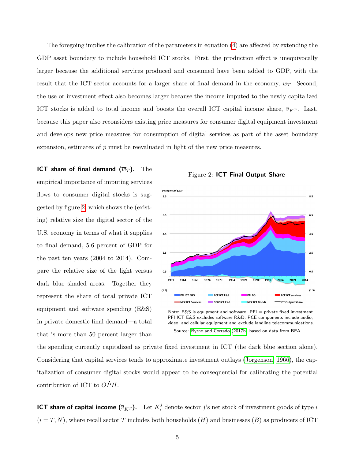The foregoing implies the calibration of the parameters in equation [\(4\)](#page-4-1) are affected by extending the GDP asset boundary to include household ICT stocks. First, the production effect is unequivocally larger because the additional services produced and consumed have been added to GDP, with the result that the ICT sector accounts for a larger share of final demand in the economy,  $\overline{w}_T$ . Second, the use or investment effect also becomes larger because the income imputed to the newly capitalized ICT stocks is added to total income and boosts the overall ICT capital income share,  $\overline{v}_{K}$ . Last, because this paper also reconsiders existing price measures for consumer digital equipment investment and develops new price measures for consumption of digital services as part of the asset boundary expansion, estimates of  $\dot{p}$  must be reevaluated in light of the new price measures.

ICT share of final demand  $(\overline{w}_T)$ . The empirical importance of imputing services flows to consumer digital stocks is suggested by figure [2,](#page-5-0) which shows the (existing) relative size the digital sector of the U.S. economy in terms of what it supplies to final demand, 5.6 percent of GDP for the past ten years (2004 to 2014). Compare the relative size of the light versus dark blue shaded areas. Together they represent the share of total private ICT equipment and software spending (E&S) in private domestic final demand—a total that is more than 50 percent larger than



<span id="page-5-0"></span>

Note:  $E & S$  is equipment and software.  $PFI =$  private fixed investment. PFI ICT E&S excludes software R&D. PCE components include audio, video, and cellular equipment and exclude landline telecommunications. Source: [Byrne and Corrado](#page-28-0) [\(2017b\)](#page-28-0) based on data from BEA.

the spending currently capitalized as private fixed investment in ICT (the dark blue section alone). Considering that capital services tends to approximate investment outlays [\(Jorgenson, 1966\)](#page-29-2), the capitalization of consumer digital stocks would appear to be consequential for calibrating the potential contribution of ICT to .  $OPH.$ 

ICT share of capital income  $(\overline{v}_{K^T})$ .  $\;$  Let  $K^j_i$  $i$  denote sector j's net stock of investment goods of type i  $(i = T, N)$ , where recall sector T includes both households  $(H)$  and businesses  $(B)$  as producers of ICT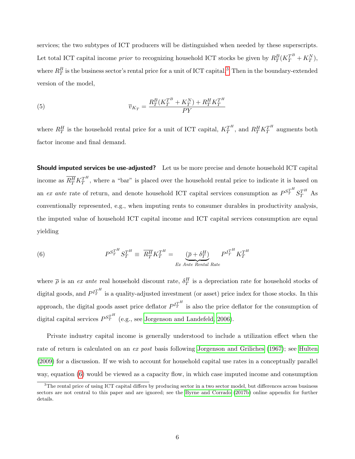services; the two subtypes of ICT producers will be distinguished when needed by these superscripts. Let total ICT capital income *prior* to recognizing household ICT stocks be given by  $R_T^B(K_T^{T^B} + K_T^N)$ , where  $R_T^B$  is the business sector's rental price for a unit of ICT capital.<sup>[3](#page-6-0)</sup> Then in the boundary-extended version of the model,

(5) 
$$
\overline{v}_{K_T} = \frac{R_T^B (K_T^{T^B} + K_T^N) + R_T^H K_T^{T^H}}{PY}
$$

where  $R_T^H$  is the household rental price for a unit of ICT capital,  $K_T^{T^H}$ , and  $R_T^H K_T^{T^H}$  augments both factor income and final demand.

**Should imputed services be use-adjusted?** Let us be more precise and denote household ICT capital income as  $\overline{R_T^H} K_T^{T^H}$ , where a "bar" is placed over the household rental price to indicate it is based on an ex ante rate of return, and denote household ICT capital services consumption as  $P^{S_T^{TH}} S_T^{T^H}$  As conventionally represented, e.g., when imputing rents to consumer durables in productivity analysis, the imputed value of household ICT capital income and ICT capital services consumption are equal yielding

<span id="page-6-1"></span>(6) 
$$
P^{S_T^{TH}} S_T^{T^H} \equiv \overline{R_T^H} K_T^{T^H} = \underbrace{(\overline{\rho} + \delta_T^H)}_{Ex \text{ Ante Rental Rate}} P^{I_T^{TH}} K_T^{T^H}
$$

where  $\bar{\rho}$  is an ex ante real household discount rate,  $\delta_T^H$  is a depreciation rate for household stocks of digital goods, and  $P^{I_T^{TH}}$  is a quality-adjusted investment (or asset) price index for those stocks. In this approach, the digital goods asset price deflator  $P^{I_T^{TH}}$  is also the price deflator for the consumption of digital capital services  $P^{S_T^{TH}}$  (e.g., see [Jorgenson and Landefeld, 2006\)](#page-29-3).

Private industry capital income is generally understood to include a utilization effect when the rate of return is calculated on an ex post basis following [Jorgenson and Griliches](#page-29-4) [\(1967\)](#page-29-4); see [Hulten](#page-29-5) [\(2009\)](#page-29-5) for a discussion. If we wish to account for household capital use rates in a conceptually parallel way, equation [\(6\)](#page-6-1) would be viewed as a capacity flow, in which case imputed income and consumption

<span id="page-6-0"></span><sup>&</sup>lt;sup>3</sup>The rental price of using ICT capital differs by producing sector in a two sector model, but differences across business sectors are not central to this paper and are ignored; see the [Byrne and Corrado](#page-28-0) [\(2017b\)](#page-28-0) online appendix for further details.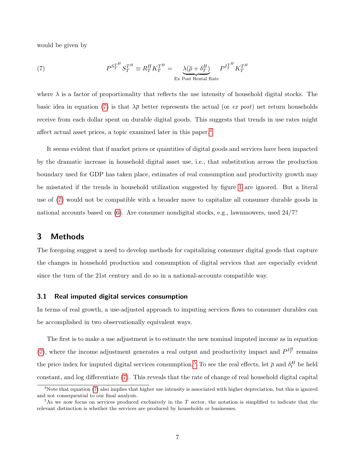would be given by

<span id="page-7-0"></span>(7) 
$$
P^{S_T^{TH}} S_T^{T^H} \equiv R_T^H K_T^{T^H} = \underbrace{\lambda(\overline{\rho} + \delta_T^H)}_{\text{Ex Post Rental Rate}} P^{I_T^{TH}} K_T^{T^H}
$$

where  $\lambda$  is a factor of proportionality that reflects the use intensity of household digital stocks. The basic idea in equation [\(7\)](#page-7-0) is that  $\lambda \bar{\rho}$  better represents the actual (or ex post) net return households receive from each dollar spent on durable digital goods. This suggests that trends in use rates might affect actual asset prices, a topic examined later in this paper.[4](#page-7-1)

It seems evident that if market prices or quantities of digital goods and services have been impacted by the dramatic increase in household digital asset use, i.e., that substitution across the production boundary used for GDP has taken place, estimates of real consumption and productivity growth may be misstated if the trends in household utilization suggested by figure [1](#page-2-0) are ignored. But a literal use of [\(7\)](#page-7-0) would not be compatible with a broader move to capitalize all consumer durable goods in national accounts based on [\(6\)](#page-6-1). Are consumer nondigital stocks, e.g., lawnmowers, used 24/7?

## 3 Methods

The foregoing suggest a need to develop methods for capitalizing consumer digital goods that capture the changes in household production and consumption of digital services that are especially evident since the turn of the 21st century and do so in a national-accounts compatible way.

#### 3.1 Real imputed digital services consumption

In terms of real growth, a use-adjusted approach to imputing services flows to consumer durables can be accomplished in two observationally equivalent ways.

The first is to make a use adjustment is to estimate the new nominal imputed income as in equation [\(7\)](#page-7-0), where the income adjustment generates a real output and productivity impact and  $P^{I^H_T}$  remains the price index for imputed digital services consumption.<sup>[5](#page-7-2)</sup> To see the real effects, let  $\bar{\rho}$  and  $\delta_t^H$  be held constant, and log differentiate [\(7\)](#page-7-0). This reveals that the rate of change of real household digital capital

<span id="page-7-1"></span><sup>&</sup>lt;sup>4</sup>Note that equation [\(7\)](#page-7-0) also implies that higher use intensity is associated with higher depreciation, but this is ignored and not consequential to our final analysis.

<span id="page-7-2"></span> $5$ As we now focus on services produced exclusively in the T sector, the notation is simplified to indicate that the relevant distinction is whether the services are produced by households or businesses.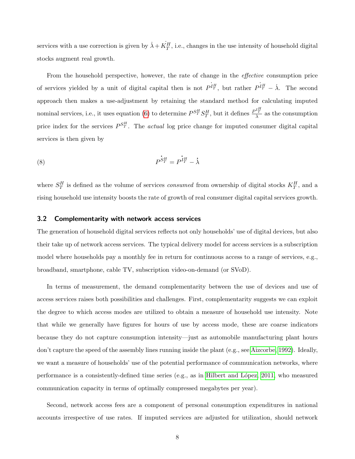services with a use correction is given by  $\dot{\lambda} + \dot{K_T^H}$ , i.e., changes in the use intensity of household digital stocks augment real growth.

From the household perspective, however, the rate of change in the *effective* consumption price of services yielded by a unit of digital capital then is not  $P^{I_H^H}$ , but rather  $P^{I_H^H} - \lambda$ . The second approach then makes a use-adjustment by retaining the standard method for calculating imputed nominal services, i.e., it uses equation [\(6\)](#page-6-1) to determine  $P^{S_T^H}S_T^H$ , but it defines  $\frac{P^{I_T^H}}{\lambda}$  as the consumption price index for the services  $P^{S_T^H}$ . The *actual* log price change for imputed consumer digital capital services is then given by

<span id="page-8-0"></span>
$$
P^{\dot{S}^H_T} = P^{\dot{I}^H_T} - \dot{\lambda}
$$

where  $S_T^H$  is defined as the volume of services *consumed* from ownership of digital stocks  $K_T^H$ , and a rising household use intensity boosts the rate of growth of real consumer digital capital services growth.

#### 3.2 Complementarity with network access services

The generation of household digital services reflects not only households' use of digital devices, but also their take up of network access services. The typical delivery model for access services is a subscription model where households pay a monthly fee in return for continuous access to a range of services, e.g., broadband, smartphone, cable TV, subscription video-on-demand (or SVoD).

In terms of measurement, the demand complementarity between the use of devices and use of access services raises both possibilities and challenges. First, complementarity suggests we can exploit the degree to which access modes are utilized to obtain a measure of household use intensity. Note that while we generally have figures for hours of use by access mode, these are coarse indicators because they do not capture consumption intensity—just as automobile manufacturing plant hours don't capture the speed of the assembly lines running inside the plant (e.g., see [Aizcorbe, 1992\)](#page-28-3). Ideally, we want a measure of households' use of the potential performance of communication networks, where performance is a consistently-defined time series (e.g., as in [Hilbert and L´opez, 2011,](#page-28-4) who measured communication capacity in terms of optimally compressed megabytes per year).

Second, network access fees are a component of personal consumption expenditures in national accounts irrespective of use rates. If imputed services are adjusted for utilization, should network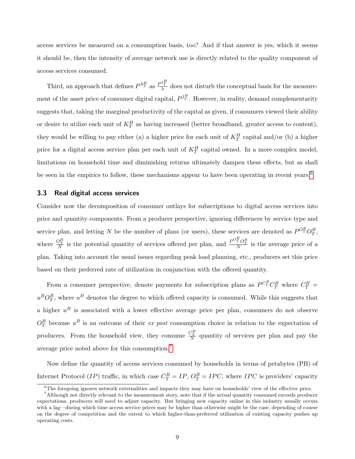access services be measured on a consumption basis, too? And if that answer is yes, which it seems it should be, then the intensity of average network use is directly related to the quality component of access services consumed.

Third, an approach that defines  $P^{S_T^H}$  as  $\frac{P^{I_T^H}}{\lambda}$  does not disturb the conceptual basis for the measurement of the asset price of consumer digital capital,  $P^{I_T^H}$ . However, in reality, demand complementarity suggests that, taking the marginal productivity of the capital as given, if consumers viewed their ability or desire to utilize each unit of  $K_T^H$  as having increased (better broadband, greater access to content), they would be willing to pay either (a) a higher price for each unit of  $K_T^H$  capital and/or (b) a higher price for a digital access service plan per each unit of  $K_T^H$  capital owned. In a more complex model, limitations on household time and diminishing returns ultimately dampen these effects, but as shall be seen in the empirics to follow, these mechanisms appear to have been operating in recent years.<sup>[6](#page-9-0)</sup>

#### <span id="page-9-2"></span>3.3 Real digital access services

Consider now the decomposition of consumer outlays for subscriptions to digital access services into price and quantity components. From a producer perspective, ignoring differences by service type and service plan, and letting N be the number of plans (or users), these services are denoted as  $P^{O_T^B}O_T^B$ , where  $\frac{O_T^B}{N}$  is the potential quantity of services offered per plan, and  $\frac{P^O_T^B O_T^B}{N}$  is the average price of a plan. Taking into account the usual issues regarding peak load planning, etc., producers set this price based on their preferred rate of utilization in conjunction with the offered quantity.

From a consumer perspective, denote payments for subscription plans as  $P^{C_T^B} C_T^B$  where  $C_T^B$  =  $u^B O_T^B$ , where  $u^B$  denotes the degree to which offered capacity is consumed. While this suggests that a higher  $u^B$  is associated with a lower effective average price per plan, consumers do not observe  $O_T^B$  because  $u^B$  is an outcome of their ex post consumption choice in relation to the expectation of producers. From the household view, they consume  $\frac{C_T^B}{N}$  quantity of services per plan and pay the average price noted above for this consumption.[7](#page-9-1)

Now define the quantity of access services consumed by households in terms of petabytes (PB) of Internet Protocol (*IP*) traffic, in which case  $C_T^B = IP$ ,  $O_T^B = IPC$ , where *IPC* is providers' capacity

<span id="page-9-1"></span><span id="page-9-0"></span> $6$ The foregoing ignores network externalities and impacts they may have on households' view of the effective price.

<sup>7</sup>Although not directly relevant to the measurement story, note that if the actual quantity consumed exceeds producer expectations, producers will need to adjust capacity. But bringing new capacity online in this industry usually occurs with a lag—during which time access service prices may be higher than otherwise might be the case, depending of course on the degree of competition and the extent to which higher-than-preferred utilization of existing capacity pushes up operating costs.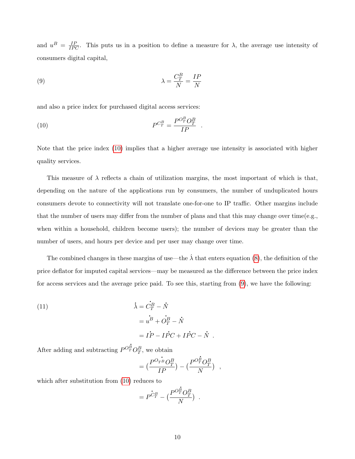and  $u^B = \frac{IP}{IPC}$ . This puts us in a position to define a measure for  $\lambda$ , the average use intensity of consumers digital capital,

<span id="page-10-1"></span>(9) 
$$
\lambda = \frac{C_T^B}{N} = \frac{IP}{N}
$$

and also a price index for purchased digital access services:

<span id="page-10-0"></span>
$$
(10) \t\t\t\tP^{C_T^B} = \frac{P^{O_T^B} O_T^B}{IP}.
$$

Note that the price index [\(10\)](#page-10-0) implies that a higher average use intensity is associated with higher quality services.

This measure of  $\lambda$  reflects a chain of utilization margins, the most important of which is that, depending on the nature of the applications run by consumers, the number of unduplicated hours consumers devote to connectivity will not translate one-for-one to IP traffic. Other margins include that the number of users may differ from the number of plans and that this may change over time(e.g., when within a household, children become users); the number of devices may be greater than the number of users, and hours per device and per user may change over time.

The combined changes in these margins of use—the  $\dot{\lambda}$  that enters equation [\(8\)](#page-8-0), the definition of the price deflator for imputed capital services—may be measured as the difference between the price index for access services and the average price paid. To see this, starting from [\(9\)](#page-10-1), we have the following:

(11)  
\n
$$
\begin{aligned}\n\dot{\lambda} &= \dot{C}_T^B - \dot{N} \\
&= u^B + \dot{O}_T^B - \dot{N} \\
&= I\dot{P} - I\dot{P}C + I\dot{P}C - \dot{S}\n\end{aligned}
$$

After adding and subtracting  $P^{O_T^B}O_T^B$ , we obtain .

$$
= \left(\frac{P^{O_{TB}}O_T^B}{IP}\right) - \left(\frac{P^{O_P^B}O_T^B}{N}\right) ,
$$

.  $N$  .

which after substitution from [\(10\)](#page-10-0) reduces to

$$
= P^{\dot{C}_T^B} - \big(\frac{P^{O_T^{\dot{B}}} O_T^B}{N}\big) .
$$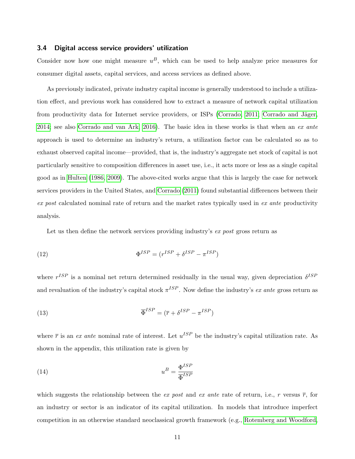#### 3.4 Digital access service providers' utilization

Consider now how one might measure  $u^B$ , which can be used to help analyze price measures for consumer digital assets, capital services, and access services as defined above.

As previously indicated, private industry capital income is generally understood to include a utilization effect, and previous work has considered how to extract a measure of network capital utilization from productivity data for Internet service providers, or ISPs [\(Corrado, 2011;](#page-28-5) Corrado and Jäger, [2014;](#page-28-6) see also [Corrado and van Ark, 2016\)](#page-28-7). The basic idea in these works is that when an ex ante approach is used to determine an industry's return, a utilization factor can be calculated so as to exhaust observed capital income—provided, that is, the industry's aggregate net stock of capital is not particularly sensitive to composition differences in asset use, i.e., it acts more or less as a single capital good as in [Hulten](#page-28-8) [\(1986,](#page-28-8) [2009\)](#page-29-5). The above-cited works argue that this is largely the case for network services providers in the United States, and [Corrado](#page-28-5) [\(2011\)](#page-28-5) found substantial differences between their ex post calculated nominal rate of return and the market rates typically used in ex ante productivity analysis.

Let us then define the network services providing industry's ex post gross return as

(12) 
$$
\Phi^{ISP} = (r^{ISP} + \delta^{ISP} - \pi^{ISP})
$$

where  $r^{ISP}$  is a nominal net return determined residually in the usual way, given depreciation  $\delta^{ISP}$ and revaluation of the industry's capital stock  $\pi^{ISP}$ . Now define the industry's ex ante gross return as

(13) 
$$
\overline{\Phi}^{ISP} = (\overline{r} + \delta^{ISP} - \pi^{ISP})
$$

where  $\bar{r}$  is an ex ante nominal rate of interest. Let  $u^{ISP}$  be the industry's capital utilization rate. As shown in the appendix, this utilization rate is given by

<span id="page-11-0"></span>(14) 
$$
u^B = \frac{\Phi^{ISP}}{\overline{\Phi}^{ISP}}
$$

which suggests the relationship between the ex post and ex ante rate of return, i.e., r versus  $\bar{r}$ , for an industry or sector is an indicator of its capital utilization. In models that introduce imperfect competition in an otherwise standard neoclassical growth framework (e.g., [Rotemberg and Woodford,](#page-29-6)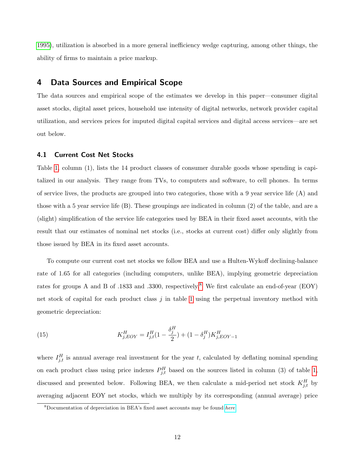[1995\)](#page-29-6), utilization is absorbed in a more general inefficiency wedge capturing, among other things, the ability of firms to maintain a price markup.

## 4 Data Sources and Empirical Scope

The data sources and empirical scope of the estimates we develop in this paper—consumer digital asset stocks, digital asset prices, household use intensity of digital networks, network provider capital utilization, and services prices for imputed digital capital services and digital access services—are set out below.

#### 4.1 Current Cost Net Stocks

Table [1,](#page-13-0) column (1), lists the 14 product classes of consumer durable goods whose spending is capitalized in our analysis. They range from TVs, to computers and software, to cell phones. In terms of service lives, the products are grouped into two categories, those with a 9 year service life (A) and those with a 5 year service life (B). These groupings are indicated in column (2) of the table, and are a (slight) simplification of the service life categories used by BEA in their fixed asset accounts, with the result that our estimates of nominal net stocks (i.e., stocks at current cost) differ only slightly from those issued by BEA in its fixed asset accounts.

To compute our current cost net stocks we follow BEA and use a Hulten-Wykoff declining-balance rate of 1.65 for all categories (including computers, unlike BEA), implying geometric depreciation rates for groups A and B of .1[8](#page-12-0)33 and .3300, respectively.<sup>8</sup> We first calculate an end-of-year (EOY) net stock of capital for each product class  $j$  in table [1](#page-13-0) using the perpetual inventory method with geometric depreciation:

(15) 
$$
K_{j,EOY}^H = I_{j,t}^H (1 - \frac{\delta_j^H}{2}) + (1 - \delta_j^H) K_{j,EOY-1}^H
$$

where  $I_{j,t}^H$  is annual average real investment for the year t, calculated by deflating nominal spending on each product class using price indexes  $P_{j,t}^H$  based on the sources listed in column (3) of table [1,](#page-13-0) discussed and presented below. Following BEA, we then calculate a mid-period net stock  $K_{j,t}^H$  by averaging adjacent EOY net stocks, which we multiply by its corresponding (annual average) price

<span id="page-12-0"></span><sup>8</sup>Documentation of depreciation in BEA's fixed asset accounts may be found [here](https://www.bea.gov/national/FA2004/Tablecandtext.pdf).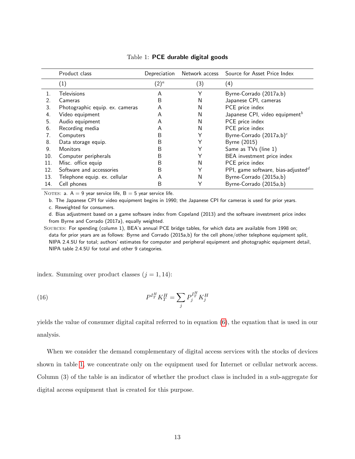<span id="page-13-0"></span>

|     | Product class<br>Depreciation   |         | Network access | Source for Asset Price Index               |
|-----|---------------------------------|---------|----------------|--------------------------------------------|
|     | (1)                             | $(2)^a$ | (3)            | (4)                                        |
|     | <b>Televisions</b>              | A       | Υ              | Byrne-Corrado (2017a,b)                    |
| 2.  | Cameras                         | B       | N              | Japanese CPI, cameras                      |
| 3.  | Photographic equip. ex. cameras | A       | N              | PCE price index                            |
| 4.  | Video equipment                 | A       | N              | Japanese CPI, video equipment <sup>b</sup> |
| 5.  | Audio equipment                 | A       | N              | PCE price index                            |
| 6.  | Recording media                 | A       | N              | PCE price index                            |
| 7.  | Computers                       | B       |                | Byrne-Corrado (2017a,b) <sup>c</sup>       |
| 8.  | Data storage equip.             | B       |                | <b>Byrne</b> (2015)                        |
| 9.  | <b>Monitors</b>                 | B       | Υ              | Same as TVs (line 1)                       |
| 10. | Computer peripherals            | B       |                | BEA investment price index                 |
| 11. | Misc. office equip              | B       | N              | PCE price index                            |
| 12. | Software and accessories        | B       | Υ              | PPI, game software, bias-adjusted $^d$     |
| 13. | Telephone equip. ex. cellular   | A       | N              | Byrne-Corrado (2015a,b)                    |
| 14. | Cell phones                     | B       | Υ              | Byrne-Corrado (2015a,b)                    |

#### Table 1: PCE durable digital goods

NOTES: a.  $A = 9$  year service life,  $B = 5$  year service life.

b. The Japanese CPI for video equipment begins in 1990; the Japanese CPI for cameras is used for prior years.

c. Reweighted for consumers.

d. Bias adjustment based on a game software index from Copeland (2013) and the software investment price index from Byrne and Corrado (2017a), equally weighted.

Sources: For spending (column 1), BEA's annual PCE bridge tables, for which data are available from 1998 on; data for prior years are as follows: Byrne and Corrado (2015a,b) for the cell phone/other telephone equipment split, NIPA 2.4.5U for total; authors' estimates for computer and peripheral equipment and photographic equipment detail, NIPA table 2.4.5U for total and other 9 categories.

index. Summing over product classes  $(j = 1, 14)$ :

(16) 
$$
P^{I_T^H} K_T^H = \sum_j P_j^{I_T^H} K_j^H
$$

yields the value of consumer digital capital referred to in equation [\(6\)](#page-6-1), the equation that is used in our analysis.

When we consider the demand complementary of digital access services with the stocks of devices shown in table [1,](#page-13-0) we concentrate only on the equipment used for Internet or cellular network access. Column (3) of the table is an indicator of whether the product class is included in a sub-aggregate for digital access equipment that is created for this purpose.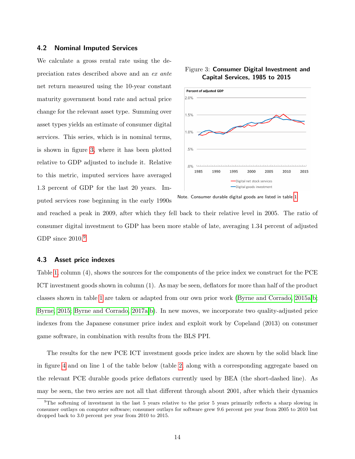#### 4.2 Nominal Imputed Services

We calculate a gross rental rate using the depreciation rates described above and an ex ante net return measured using the 10-year constant maturity government bond rate and actual price change for the relevant asset type. Summing over asset types yields an estimate of consumer digital services. This series, which is in nominal terms, is shown in figure [3,](#page-14-0) where it has been plotted relative to GDP adjusted to include it. Relative to this metric, imputed services have averaged 1.3 percent of GDP for the last 20 years. Imputed services rose beginning in the early 1990s



<span id="page-14-0"></span>

and reached a peak in 2009, after which they fell back to their relative level in 2005. The ratio of consumer digital investment to GDP has been more stable of late, averaging 1.34 percent of adjusted GDP since  $2010.<sup>9</sup>$  $2010.<sup>9</sup>$  $2010.<sup>9</sup>$ 

#### 4.3 Asset price indexes

Table [1,](#page-13-0) column (4), shows the sources for the components of the price index we construct for the PCE ICT investment goods shown in column (1). As may be seen, deflators for more than half of the product classes shown in table [1](#page-13-0) are taken or adapted from our own prior work [\(Byrne and Corrado, 2015a,](#page-28-9)[b;](#page-28-10) [Byrne, 2015;](#page-28-11) [Byrne and Corrado, 2017a,](#page-28-12)[b\)](#page-28-0). In new moves, we incorporate two quality-adjusted price indexes from the Japanese consumer price index and exploit work by Copeland (2013) on consumer game software, in combination with results from the BLS PPI.

The results for the new PCE ICT investment goods price index are shown by the solid black line in figure [4](#page-15-0) and on line 1 of the table below (table [2,](#page-16-0) along with a corresponding aggregate based on the relevant PCE durable goods price deflators currently used by BEA (the short-dashed line). As may be seen, the two series are not all that different through about 2001, after which their dynamics

Note. Consumer durable digital goods are listed in table [1.](#page-13-0)

<span id="page-14-1"></span> $9$ The softening of investment in the last 5 years relative to the prior 5 years primarily reflects a sharp slowing in consumer outlays on computer software; consumer outlays for software grew 9.6 percent per year from 2005 to 2010 but dropped back to 3.0 percent per year from 2010 to 2015.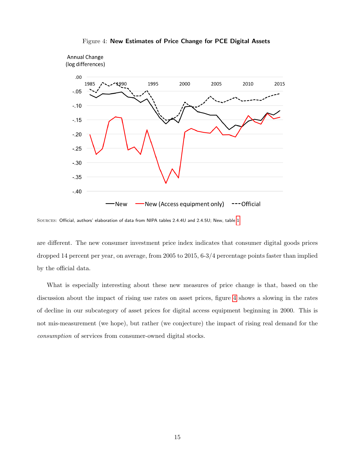<span id="page-15-0"></span>

Figure 4: New Estimates of Price Change for PCE Digital Assets

Sources: Official, authors' elaboration of data from NIPA tables 2.4.4U and 2.4.5U; New, table [1.](#page-13-0)

are different. The new consumer investment price index indicates that consumer digital goods prices dropped 14 percent per year, on average, from 2005 to 2015, 6-3/4 percentage points faster than implied by the official data.

What is especially interesting about these new measures of price change is that, based on the discussion about the impact of rising use rates on asset prices, figure [4](#page-15-0) shows a slowing in the rates of decline in our subcategory of asset prices for digital access equipment beginning in 2000. This is not mis-measurement (we hope), but rather (we conjecture) the impact of rising real demand for the consumption of services from consumer-owned digital stocks.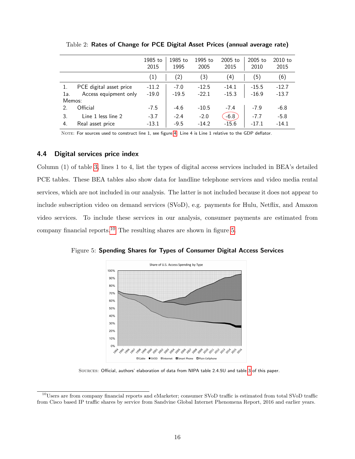<span id="page-16-0"></span>

|                       |                         | 1985 to<br>2015   | 1985 to<br>1995 | 1995 to<br>2005 | 2005 to<br>2015 | 2005 to<br>2010 | 2010 to<br>2015 |
|-----------------------|-------------------------|-------------------|-----------------|-----------------|-----------------|-----------------|-----------------|
|                       |                         | $\left( 1\right)$ | (2)             | (3)             | (4)             | (5)             | (6)             |
|                       | PCE digital asset price | $-11.2$           | $-7.0$          | $-12.5$         | $-14.1$         | $-15.5$         | $-12.7$         |
| 1a.                   | Access equipment only   | $-19.0$           | $-19.5$         | $-22.1$         | $-15.3$         | $-16.9$         | $-13.7$         |
| Memos:                |                         |                   |                 |                 |                 |                 |                 |
| $\mathcal{P}_{\cdot}$ | Official                | $-7.5$            | $-4.6$          | $-10.5$         | $-7.4$          | $-7.9$          | -6.8            |
| 3.                    | Line 1 less line 2      | $-3.7$            | $-2.4$          | $-2.0$          | $-6.8$          | $-7.7$          | $-5.8$          |
| 4.                    | Real asset price        | $-13.1$           | $-9.5$          | $-14.2$         | $-15.6$         | $-17.1$         | $-14.1$         |

Table 2: Rates of Change for PCE Digital Asset Prices (annual average rate)

NOTE: For sources used to construct line 1, see figure [4.](#page-15-0) Line 4 is Line 1 relative to the GDP deflator.

#### 4.4 Digital services price index

Column (1) of table [3,](#page-17-0) lines 1 to 4, list the types of digital access services included in BEA's detailed PCE tables. These BEA tables also show data for landline telephone services and video media rental services, which are not included in our analysis. The latter is not included because it does not appear to include subscription video on demand services (SVoD), e.g. payments for Hulu, Netflix, and Amazon video services. To include these services in our analysis, consumer payments are estimated from company financial reports.[10](#page-16-1) The resulting shares are shown in figure [5.](#page-16-2)

<span id="page-16-2"></span>



Sources: Official, authors' elaboration of data from NIPA table 2.4.5U and table [3](#page-17-0) of this paper.

<span id="page-16-1"></span><sup>10</sup>Users are from company financial reports and eMarketer; consumer SVoD traffic is estimated from total SVoD traffic from Cisco based IP traffic shares by service from Sandvine Global Internet Phenomena Report, 2016 and earlier years.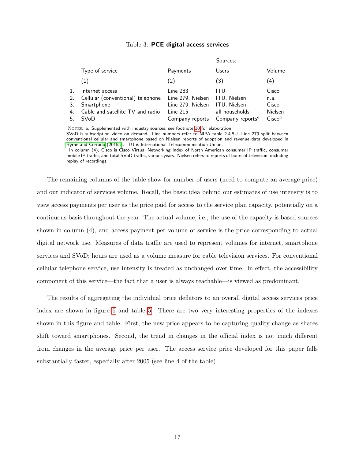<span id="page-17-0"></span>

|    |                                   |                   | Sources:                                  |                    |
|----|-----------------------------------|-------------------|-------------------------------------------|--------------------|
|    | Type of service                   | Payments          | Users                                     | Volume             |
|    | (1)                               | (2)               | $\left(3\right)$                          | (4)                |
|    | Internet access                   | Line 283          | ITU                                       | Cisco              |
| 2. | Cellular (conventional) telephone | Line 279, Nielsen | ITU, Nielsen                              | n.a.               |
| 3. | Smartphone                        | Line 279, Nielsen | ITU, Nielsen                              | Cisco              |
| 4. | Cable and satellite TV and radio  | Line 215          | all households                            | Nielsen            |
| 5  | SVoD                              | Company reports   | Company reports <sup><math>a</math></sup> | Cisco <sup>a</sup> |
|    |                                   |                   |                                           |                    |

#### Table 3: PCE digital access services

NOTES: a. Supplemented with industry sources; see footnote [10](#page-16-1) for elaboration.

SVoD is subscription video on demand. Line numbers refer to NIPA table 2.4.5U. Line 279 split between conventional cellular and smartphone based on Nielsen reports of adoption and revenue data developed in [Byrne and Corrado](#page-28-9) [\(2015a\)](#page-28-9). ITU is International Telecommunication Union.

In column (4), Cisco is Cisco Virtual Networking Index of North American consumer IP traffic, consumer mobile IP traffic, and total SVoD traffic, various years. Nielsen refers to reports of hours of television, including replay of recordings.

The remaining columns of the table show for number of users (need to compute an average price) and our indicator of services volume. Recall, the basic idea behind our estimates of use intensity is to view access payments per user as the price paid for access to the service plan capacity, potentially on a continuous basis throughout the year. The actual volume, i.e., the use of the capacity is based sources shown in column (4), and access payment per volume of service is the price corresponding to actual digital network use. Measures of data traffic are used to represent volumes for internet, smartphone services and SVoD; hours are used as a volume measure for cable television services. For conventional cellular telephone service, use intensity is treated as unchanged over time. In effect, the accessibility component of this service—the fact that a user is always reachable—is viewed as predominant.

The results of aggregating the individual price deflators to an overall digital access services price index are shown in figure [6](#page-18-0) and table [5.](#page-20-0) There are two very interesting properties of the indexes shown in this figure and table. First, the new price appears to be capturing quality change as shares shift toward smartphones. Second, the trend in changes in the official index is not much different from changes in the average price per user. The access service price developed for this paper falls substantially faster, especially after 2005 (see line 4 of the table)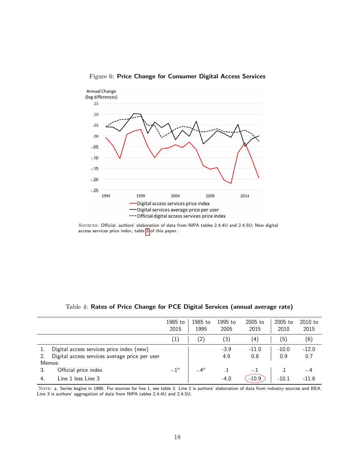

<span id="page-18-0"></span>Figure 6: Price Change for Consumer Digital Access Services

|                                                | 1985 to<br>2015   | 1985 to<br>1995 | 1995 to<br>2005 | 2005 to<br>2015 | 2005 to<br>2010 | 2010 to<br>2015 |
|------------------------------------------------|-------------------|-----------------|-----------------|-----------------|-----------------|-----------------|
|                                                | $\left( 1\right)$ | (2)             | (3)             | (4)             | (5)             | (6)             |
| Digital access services price index (new)      |                   |                 | $-3.9$          | $-11.0$         | $-10.0$         | $-12.0$         |
| Digital access services average price per user |                   |                 | 4.9             | 0.8             | 0.9             | 0.7             |
| Memos:                                         |                   |                 |                 |                 |                 |                 |
| Official price index                           | $-1^a$            | $-4^a$          |                 | $-.1$           |                 | $-.4$           |
| Line 1 less Line 3                             |                   |                 | $-4.0$          | $-10.9$         | $-10.1$         | $-11.6$         |

### Table 4: Rates of Price Change for PCE Digital Services (annual average rate)

Note: a. Series begins in 1986. For sources for line 1, see table 3. Line 2 is authors' elaboration of data from industry sources and BEA. Line 3 is authors' aggregation of data from NIPA tables 2.4.4U and 2.4.5U.

Sources: Official, authors' elaboration of data from NIPA tables 2.4.4U and 2.4.5U; New digital access services price index, table [3](#page-17-0) of this paper.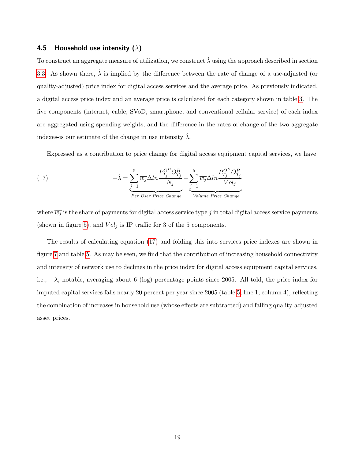#### 4.5 Household use intensity ( $\lambda$ )

To construct an aggregate measure of utilization, we construct  $\lambda$  using the approach described in section [3.3.](#page-9-2) As shown there,  $\dot{\lambda}$  is implied by the difference between the rate of change of a use-adjusted (or quality-adjusted) price index for digital access services and the average price. As previously indicated, a digital access price index and an average price is calculated for each category shown in table [3.](#page-17-0) The five components (internet, cable, SVoD, smartphone, and conventional cellular service) of each index are aggregated using spending weights, and the difference in the rates of change of the two aggregate indexes-is our estimate of the change in use intensity  $\dot{\lambda}$ .

Expressed as a contribution to price change for digital access equipment capital services, we have

<span id="page-19-0"></span>(17) 
$$
-\dot{\lambda} = \underbrace{\sum_{j=1}^{5} \overline{w_j} \Delta ln \frac{P_{T_j}^{O^B} O_{T_j}^B}{N_j}}_{Per \text{ User Price Change}} - \underbrace{\sum_{j=1}^{5} \overline{w_j} \Delta ln \frac{P_{T_j}^{O^B} O_{T_j}^B}{Vol_j}}_{Volume \text{ Price Change}}
$$

where  $\overline{w_j}$  is the share of payments for digital access service type j in total digital access service payments (shown in figure [5\)](#page-16-2), and  $Vol_j$  is IP traffic for 3 of the 5 components.

The results of calculating equation [\(17\)](#page-19-0) and folding this into services price indexes are shown in figure [7](#page-20-1) and table [5.](#page-20-0) As may be seen, we find that the contribution of increasing household connectivity and intensity of network use to declines in the price index for digital access equipment capital services, i.e.,  $-\dot{\lambda}$ , notable, averaging about 6 (log) percentage points since 2005. All told, the price index for imputed capital services falls nearly 20 percent per year since 2005 (table [5,](#page-20-0) line 1, column 4), reflecting the combination of increases in household use (whose effects are subtracted) and falling quality-adjusted asset prices.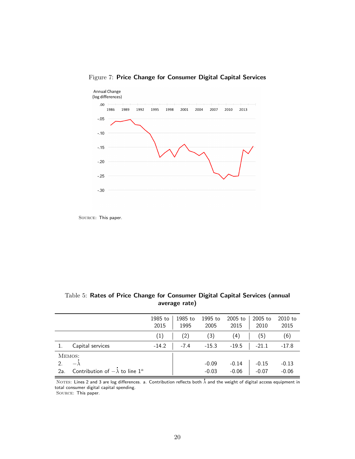

## <span id="page-20-1"></span>Figure 7: Price Change for Consumer Digital Capital Services

SOURCE: This paper.

<span id="page-20-0"></span>

|               | average rate)                            |                 |                 |                 |                 |                 |                   |
|---------------|------------------------------------------|-----------------|-----------------|-----------------|-----------------|-----------------|-------------------|
|               |                                          | 1985 to<br>2015 | 1985 to<br>1995 | 1995 to<br>2005 | 2005 to<br>2015 | 2005 to<br>2010 | $2010$ to<br>2015 |
|               |                                          | (1)             | (2)             | (3)             | (4)             | (5)             | (6)               |
|               | Capital services                         | $-14.2$         | $-7.4$          | $-15.3$         | $-19.5$         | $-21.1$         | $-17.8$           |
|               | MEMOS:                                   |                 |                 |                 |                 |                 |                   |
| $\mathcal{P}$ | $-\lambda$                               |                 |                 | $-0.09$         | $-0.14$         | $-0.15$         | $-0.13$           |
| 2a.           | Contribution of $-\lambda$ to line $1^a$ |                 |                 | $-0.03$         | $-0.06$         | $-0.07$         | $-0.06$           |

# Table 5: Rates of Price Change for Consumer Digital Capital Services (annual

NOTES: Lines 2 and 3 are log differences. a. Contribution reflects both  $\dot{\lambda}$  and the weight of digital access equipment in total consumer digital capital spending.

Source: This paper.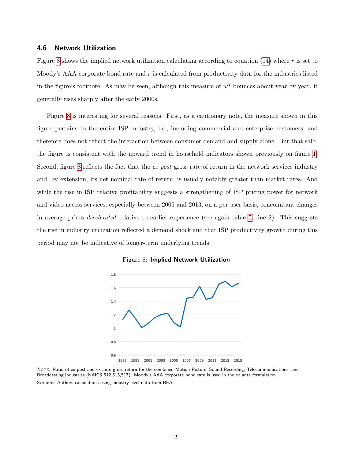#### 4.6 Network Utilization

Figure [8](#page-21-0) shows the implied network utilization calculating according to equation [\(14\)](#page-11-0) where  $\bar{r}$  is set to Moody's AAA corporate bond rate and r is calculated from productivity data for the industries listed in the figure's footnote. As may be seen, although this measure of  $u^B$  bounces about year by year, it generally rises sharply after the early 2000s.

Figure [8](#page-21-0) is interesting for several reasons. First, as a cautionary note, the measure shown in this figure pertains to the entire ISP industry, i.e., including commercial and enterprise customers, and therefore does not reflect the interaction between consumer demand and supply alone. But that said, the figure is consistent with the upward trend in household indicators shown previously on figure [1.](#page-2-0) Second, figure [8](#page-21-0) reflects the fact that the ex post gross rate of return in the network services industry and, by extension, its net nominal rate of return, is usually notably greater than market rates. And while the rise in ISP relative profitability suggests a strengthening of ISP pricing power for network and video access services, especially between 2005 and 2013, on a per user basis, concomitant changes in average prices decelerated relative to earlier experience (see again table [5,](#page-20-0) line 2). This suggests the rise in industry utilization reflected a demand shock and that ISP productivity growth during this period may not be indicative of longer-term underlying trends.

<span id="page-21-0"></span>

Figure 8: Implied Network Utilization

NOTE: Ratio of ex post and ex ante gross return for the combined Motion Picture, Sound Recording, Telecommunications, and Broadcasting industries (NAICS 512,515,517). Moody's AAA corporate bond rate is used in the ex ante formulation. Source: Authors calculations using industry-level data from BEA.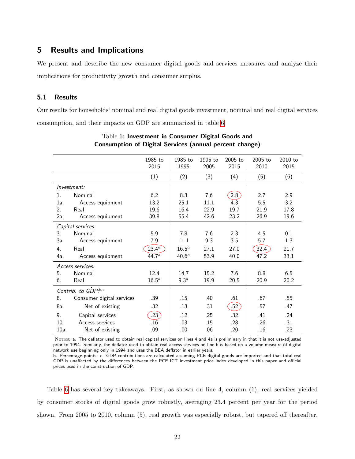## 5 Results and Implications

We present and describe the new consumer digital goods and services measures and analyze their implications for productivity growth and consumer surplus.

#### 5.1 Results

<span id="page-22-0"></span>Our results for households' nominal and real digital goods investment, nominal and real digital services consumption, and their impacts on GDP are summarized in table [6.](#page-22-0)

|         |                           | 1985 to           | 1985 to           | 1995 to | 2005 to            | $2005$ to | $2010$ to |
|---------|---------------------------|-------------------|-------------------|---------|--------------------|-----------|-----------|
|         |                           | 2015              | 1995              | 2005    | 2015               | 2010      | 2015      |
|         |                           | (1)               | (2)               | (3)     | (4)                | (5)       | (6)       |
|         |                           |                   |                   |         |                    |           |           |
|         | Investment:               |                   |                   |         |                    |           |           |
| $1_{-}$ | Nominal                   | 6.2               | 8.3               | 7.6     | $\left[2.8\right]$ | 2.7       | 2.9       |
| 1a.     | Access equipment          | 13.2              | 25.1              | 11.1    | 4.3                | 5.5       | 3.2       |
| 2.      | Real                      | 19.6              | 16.4              | 22.9    | 19.7               | 21.9      | 17.8      |
| 2a.     | Access equipment          | 39.8              | 55.4              | 42.6    | 23.2               | 26.9      | 19.6      |
|         | Capital services:         |                   |                   |         |                    |           |           |
| 3.      | Nominal                   | 5.9               | 7.8               | 7.6     | 2.3                | 4.5       | 0.1       |
| За.     | Access equipment          | 7.9               | 11.1              | 9.3     | 3.5                | 5.7       | 1.3       |
| 4.      | Real                      | $23.4^{\circ}$    | $16.5^a$          | 27.1    | 27.0               | 32.4      | 21.7      |
| 4a.     | Access equipment          | 44.7 <sup>a</sup> | 40.6 <sup>a</sup> | 53.9    | 40.0               | 47.2      | 33.1      |
|         | Access services:          |                   |                   |         |                    |           |           |
| 5.      | Nominal                   | 12.4              | 14.7              | 15.2    | 7.6                | 8.8       | 6.5       |
| 6.      | Real                      | $16.5^a$          | 9.3 <sup>a</sup>  | 19.9    | 20.5               | 20.9      | 20.2      |
|         | Contrib. to GDP.b,c       |                   |                   |         |                    |           |           |
| 8.      | Consumer digital services | .39               | .15               | .40     | .61                | .67       | .55       |
| 8a.     | Net of existing           | .32               | .13               | .31     | .52                | .57       | .47       |
| 9.      | Capital services          | .23               | .12               | .25     | .32                | .41       | .24       |
| 10.     | Access services           | .16               | .03               | .15     | .28                | .26       | .31       |
| 10a.    | Net of existing           | .09               | .00.              | .06     | .20                | .16       | .23       |

#### Table 6: Investment in Consumer Digital Goods and Consumption of Digital Services (annual percent change)

NOTES: a. The deflator used to obtain real capital services on lines 4 and 4a is preliminary in that it is not use-adjusted prior to 1994. Similarly, the deflator used to obtain real access services on line 6 is based on a volume measure of digital network use beginning only in 1994 and uses the BEA deflator in earlier years.

b. Percentage points. c. GDP contributions are calculated assuming PCE digital goods are imported and that total real GDP is unaffected by the differences between the PCE ICT investment price index developed in this paper and official prices used in the construction of GDP.

Table [6](#page-22-0) has several key takeaways. First, as shown on line 4, column (1), real services yielded by consumer stocks of digital goods grow robustly, averaging 23.4 percent per year for the period shown. From 2005 to 2010, column (5), real growth was especially robust, but tapered off thereafter.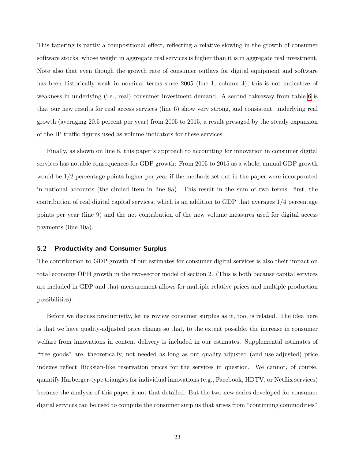This tapering is partly a compositional effect, reflecting a relative slowing in the growth of consumer software stocks, whose weight in aggregate real services is higher than it is in aggregate real investment. Note also that even though the growth rate of consumer outlays for digital equipment and software has been historically weak in nominal terms since 2005 (line 1, column 4), this is not indicative of weakness in underlying (i.e., real) consumer investment demand. A second takeaway from table [6](#page-22-0) is that our new results for real access services (line 6) show very strong, and consistent, underlying real growth (averaging 20.5 percent per year) from 2005 to 2015, a result presaged by the steady expansion of the IP traffic figures used as volume indicators for these services.

Finally, as shown on line 8, this paper's approach to accounting for innovation in consumer digital services has notable consequences for GDP growth: From 2005 to 2015 as a whole, annual GDP growth would be 1/2 percentage points higher per year if the methods set out in the paper were incorporated in national accounts (the circled item in line 8a). This result in the sum of two terms: first, the contribution of real digital capital services, which is an addition to GDP that averages 1/4 percentage points per year (line 9) and the net contribution of the new volume measures used for digital access payments (line 10a).

#### 5.2 Productivity and Consumer Surplus

The contribution to GDP growth of our estimates for consumer digital services is also their impact on total economy OPH growth in the two-sector model of section 2. (This is both because capital services are included in GDP and that measurement allows for multiple relative prices and multiple production possibilities).

Before we discuss productivity, let us review consumer surplus as it, too, is related. The idea here is that we have quality-adjusted price change so that, to the extent possible, the increase in consumer welfare from innovations in content delivery is included in our estimates. Supplemental estimates of "free goods" are, theoretically, not needed as long as our quality-adjusted (and use-adjusted) price indexes reflect Hicksian-like reservation prices for the services in question. We cannot, of course, quantify Harberger-type triangles for individual innovations (e.g., Facebook, HDTV, or Netflix services) because the analysis of this paper is not that detailed. But the two new series developed for consumer digital services can be used to compute the consumer surplus that arises from "continuing commodities"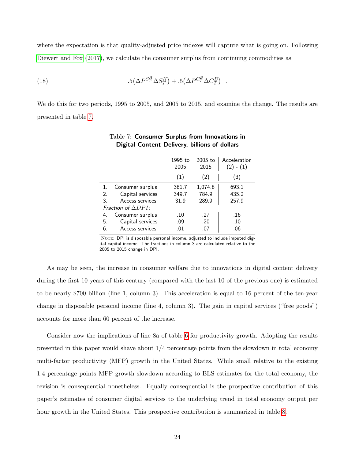where the expectation is that quality-adjusted price indexes will capture what is going on. Following [Diewert and Fox](#page-28-13) [\(2017\)](#page-28-13), we calculate the consumer surplus from continuing commodities as

(18) 
$$
.5\left(\Delta P^{S_T^H} \Delta S_T^H\right) + .5\left(\Delta P^{C_T^B} \Delta C_T^B\right) .
$$

<span id="page-24-0"></span>We do this for two periods, 1995 to 2005, and 2005 to 2015, and examine the change. The results are presented in table [7.](#page-24-0)

|    |                            | 1995 to<br>2005 | $2005$ to<br>2015 | Acceleration<br>$(2) - (1)$ |
|----|----------------------------|-----------------|-------------------|-----------------------------|
|    |                            | (1)             | (2)               | (3)                         |
| 1. | Consumer surplus           | 381.7           | 1,074.8           | 693.1                       |
| 2. | Capital services           | 349.7           | 784.9             | 435.2                       |
| 3. | Access services            | 31.9            | 289.9             | 257.9                       |
|    | Fraction of $\Delta DPI$ : |                 |                   |                             |
| 4. | Consumer surplus           | .10             | .27               | .16                         |
| 5. | Capital services           | .09             | .20               | .10                         |
| 6. | Access services            | .01             | .07               | .06                         |

#### Table 7: Consumer Surplus from Innovations in Digital Content Delivery, billions of dollars

NOTE: DPI is disposable personal income, adjusted to include imputed digital capital income. The fractions in column 3 are calculated relative to the 2005 to 2015 change in DPI.

As may be seen, the increase in consumer welfare due to innovations in digital content delivery during the first 10 years of this century (compared with the last 10 of the previous one) is estimated to be nearly \$700 billion (line 1, column 3). This acceleration is equal to 16 percent of the ten-year change in disposable personal income (line 4, column 3). The gain in capital services ("free goods") accounts for more than 60 percent of the increase.

Consider now the implications of line 8a of table [6](#page-22-0) for productivity growth. Adopting the results presented in this paper would shave about  $1/4$  percentage points from the slowdown in total economy multi-factor productivity (MFP) growth in the United States. While small relative to the existing 1.4 percentage points MFP growth slowdown according to BLS estimates for the total economy, the revision is consequential nonetheless. Equally consequential is the prospective contribution of this paper's estimates of consumer digital services to the underlying trend in total economy output per hour growth in the United States. This prospective contribution is summarized in table [8.](#page-26-0)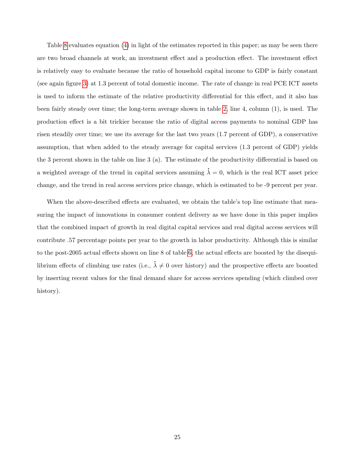Table [8](#page-26-0) evaluates equation [\(4\)](#page-4-1) in light of the estimates reported in this paper; as may be seen there are two broad channels at work, an investment effect and a production effect. The investment effect is relatively easy to evaluate because the ratio of household capital income to GDP is fairly constant (see again figure [3\)](#page-14-0) at 1.3 percent of total domestic income. The rate of change in real PCE ICT assets is used to inform the estimate of the relative productivity differential for this effect, and it also has been fairly steady over time; the long-term average shown in table [2,](#page-16-0) line 4, column (1), is used. The production effect is a bit trickier because the ratio of digital access payments to nominal GDP has risen steadily over time; we use its average for the last two years (1.7 percent of GDP), a conservative assumption, that when added to the steady average for capital services (1.3 percent of GDP) yields the 3 percent shown in the table on line 3 (a). The estimate of the productivity differential is based on a weighted average of the trend in capital services assuming .  $\lambda = 0$ , which is the real ICT asset price change, and the trend in real access services price change, which is estimated to be -9 percent per year.

When the above-described effects are evaluated, we obtain the table's top line estimate that measuring the impact of innovations in consumer content delivery as we have done in this paper implies that the combined impact of growth in real digital capital services and real digital access services will contribute .57 percentage points per year to the growth in labor productivity. Although this is similar to the post-2005 actual effects shown on line 8 of table [6,](#page-22-0) the actual effects are boosted by the disequilibrium effects of climbing use rates (i.e., .  $\lambda \neq 0$  over history) and the prospective effects are boosted by inserting recent values for the final demand share for access services spending (which climbed over history).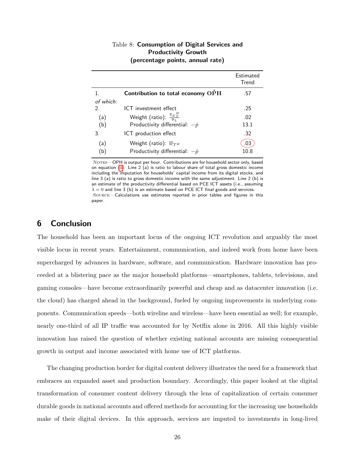| Table 8: Consumption of Digital Services and |
|----------------------------------------------|
| <b>Productivity Growth</b>                   |
| (percentage points, annual rate)             |

<span id="page-26-0"></span>

|           |                                                           | Estimated<br>Trend |
|-----------|-----------------------------------------------------------|--------------------|
|           | Contribution to total economy OPH                         | .57                |
| of which: |                                                           |                    |
| 2.        | ICT investment effect                                     | .25                |
| (a)       | Weight (ratio): $\frac{\overline{v}_K T}{\overline{v}_r}$ | .02                |
| (b)       | Productivity differential: $-\dot{p}$                     | 13.1               |
| 3.        | ICT production effect                                     | .32                |
| (a)       | Weight (ratio): $\overline{w}_{T^H}$                      | .03                |
| (b)       | Productivity differential: $-\dot{p}$                     | 10.8               |

NOTES-OPH is output per hour. Contributions are for household sector only, based on equation [\(4\)](#page-4-1). Line 2 (a) is ratio to labour share of total gross domestic income including the imputation for households' capital income from its digital stocks, and line 3 (a) is ratio to gross domestic income with the same adjustment. Line 2 (b) is an estimate of the productivity differential based on PCE ICT assets (i.e., assuming  $\lambda = 0$  and line 3 (b) is an estimate based on PCE ICT final goods and services. Source—Calculations use estimates reported in prior tables and figures in this paper.

## 6 Conclusion

The household has been an important locus of the ongoing ICT revolution and arguably the most visible locus in recent years. Entertainment, communication, and indeed work from home have been supercharged by advances in hardware, software, and communication. Hardware innovation has proceeded at a blistering pace as the major household platforms—smartphones, tablets, televisions, and gaming consoles—have become extraordinarily powerful and cheap and as datacenter innovation (i.e. the cloud) has charged ahead in the background, fueled by ongoing improvements in underlying components. Communication speeds—both wireline and wireless—have been essential as well; for example, nearly one-third of all IP traffic was accounted for by Netflix alone in 2016. All this highly visible innovation has raised the question of whether existing national accounts are missing consequential growth in output and income associated with home use of ICT platforms.

The changing production border for digital content delivery illustrates the need for a framework that embraces an expanded asset and production boundary. Accordingly, this paper looked at the digital transformation of consumer content delivery through the lens of capitalization of certain consumer durable goods in national accounts and offered methods for accounting for the increasing use households make of their digital devices. In this approach, services are imputed to investments in long-lived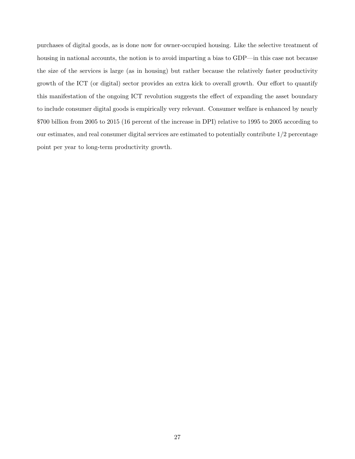purchases of digital goods, as is done now for owner-occupied housing. Like the selective treatment of housing in national accounts, the notion is to avoid imparting a bias to GDP—in this case not because the size of the services is large (as in housing) but rather because the relatively faster productivity growth of the ICT (or digital) sector provides an extra kick to overall growth. Our effort to quantify this manifestation of the ongoing ICT revolution suggests the effect of expanding the asset boundary to include consumer digital goods is empirically very relevant. Consumer welfare is enhanced by nearly \$700 billion from 2005 to 2015 (16 percent of the increase in DPI) relative to 1995 to 2005 according to our estimates, and real consumer digital services are estimated to potentially contribute  $1/2$  percentage point per year to long-term productivity growth.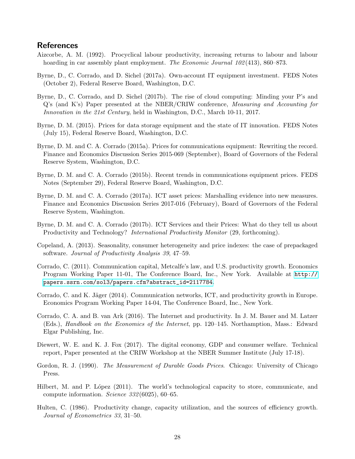## References

- <span id="page-28-3"></span>Aizcorbe, A. M. (1992). Procyclical labour productivity, increasing returns to labour and labour hoarding in car assembly plant employment. The Economic Journal 102(413), 860–873.
- <span id="page-28-1"></span>Byrne, D., C. Corrado, and D. Sichel (2017a). Own-account IT equipment investment. FEDS Notes (October 2), Federal Reserve Board, Washington, D.C.
- <span id="page-28-2"></span>Byrne, D., C. Corrado, and D. Sichel (2017b). The rise of cloud computing: Minding your P's and Q's (and K's) Paper presented at the NBER/CRIW conference, Measuring and Accounting for Innovation in the 21st Century, held in Washington, D.C., March 10-11, 2017.
- <span id="page-28-11"></span>Byrne, D. M. (2015). Prices for data storage equipment and the state of IT innovation. FEDS Notes (July 15), Federal Reserve Board, Washington, D.C.
- <span id="page-28-9"></span>Byrne, D. M. and C. A. Corrado (2015a). Prices for communications equipment: Rewriting the record. Finance and Economics Discussion Series 2015-069 (September), Board of Governors of the Federal Reserve System, Washington, D.C.
- <span id="page-28-10"></span>Byrne, D. M. and C. A. Corrado (2015b). Recent trends in communications equipment prices. FEDS Notes (September 29), Federal Reserve Board, Washington, D.C.
- <span id="page-28-12"></span>Byrne, D. M. and C. A. Corrado (2017a). ICT asset prices: Marshalling evidence into new measures. Finance and Economics Discussion Series 2017-016 (February), Board of Governors of the Federal Reserve System, Washington.
- <span id="page-28-0"></span>Byrne, D. M. and C. A. Corrado (2017b). ICT Services and their Prices: What do they tell us about Productivity and Technology? International Productivity Monitor (29, forthcoming).
- Copeland, A. (2013). Seasonality, consumer heterogeneity and price indexes: the case of prepackaged software. Journal of Productivity Analysis 39, 47–59.
- <span id="page-28-5"></span>Corrado, C. (2011). Communication capital, Metcalfe's law, and U.S. productivity growth. Economics Program Working Paper 11-01, The Conference Board, Inc., New York. Available at [http://](http://papers.ssrn.com/sol3/papers.cfm?abstract_id=2117784) [papers.ssrn.com/sol3/papers.cfm?abstract\\_id=2117784](http://papers.ssrn.com/sol3/papers.cfm?abstract_id=2117784).
- <span id="page-28-6"></span>Corrado, C. and K. Jäger (2014). Communication networks, ICT, and productivity growth in Europe. Economics Program Working Paper 14-04, The Conference Board, Inc., New York.
- <span id="page-28-7"></span>Corrado, C. A. and B. van Ark (2016). The Internet and productivity. In J. M. Bauer and M. Latzer (Eds.), Handbook on the Economics of the Internet, pp. 120–145. Northamption, Mass.: Edward Elgar Publishing, Inc.
- <span id="page-28-13"></span>Diewert, W. E. and K. J. Fox (2017). The digital economy, GDP and consumer welfare. Technical report, Paper presented at the CRIW Workshop at the NBER Summer Institute (July 17-18).
- Gordon, R. J. (1990). The Measurement of Durable Goods Prices. Chicago: University of Chicago Press.
- <span id="page-28-4"></span>Hilbert, M. and P. López (2011). The world's technological capacity to store, communicate, and compute information. Science 332 (6025), 60–65.
- <span id="page-28-8"></span>Hulten, C. (1986). Productivity change, capacity utilization, and the sources of efficiency growth. Journal of Econometrics 33, 31–50.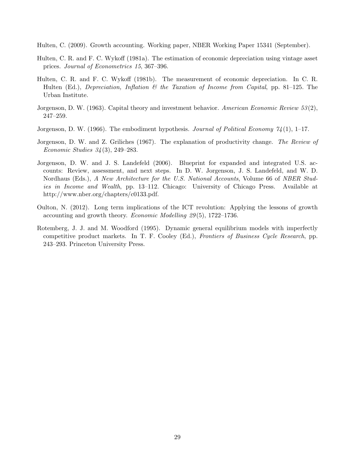<span id="page-29-5"></span>Hulten, C. (2009). Growth accounting. Working paper, NBER Working Paper 15341 (September).

- Hulten, C. R. and F. C. Wykoff (1981a). The estimation of economic depreciation using vintage asset prices. Journal of Econometrics 15, 367–396.
- Hulten, C. R. and F. C. Wykoff (1981b). The measurement of economic depreciation. In C. R. Hulten (Ed.), Depreciation, Inflation  $\mathcal C$  the Taxation of Income from Capital, pp. 81–125. The Urban Institute.
- <span id="page-29-1"></span>Jorgenson, D. W. (1963). Capital theory and investment behavior. American Economic Review 53 (2), 247–259.
- <span id="page-29-2"></span>Jorgenson, D. W. (1966). The embodiment hypothesis. Journal of Political Economy  $\mathcal{U}(1)$ , 1–17.
- <span id="page-29-4"></span>Jorgenson, D. W. and Z. Griliches (1967). The explanation of productivity change. The Review of Economic Studies 34 (3), 249–283.
- <span id="page-29-3"></span>Jorgenson, D. W. and J. S. Landefeld (2006). Blueprint for expanded and integrated U.S. accounts: Review, assessment, and next steps. In D. W. Jorgenson, J. S. Landefeld, and W. D. Nordhaus (Eds.), A New Architecture for the U.S. National Accounts, Volume 66 of NBER Studies in Income and Wealth, pp. 13–112. Chicago: University of Chicago Press. Available at http://www.nber.org/chapters/c0133.pdf.
- <span id="page-29-0"></span>Oulton, N. (2012). Long term implications of the ICT revolution: Applying the lessons of growth accounting and growth theory. Economic Modelling 29 (5), 1722–1736.
- <span id="page-29-6"></span>Rotemberg, J. J. and M. Woodford (1995). Dynamic general equilibrium models with imperfectly competitive product markets. In T. F. Cooley (Ed.), Frontiers of Business Cycle Research, pp. 243–293. Princeton University Press.